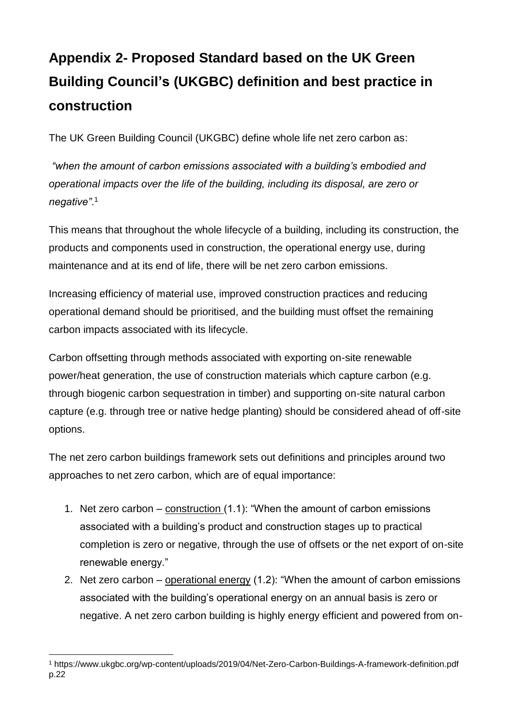## **Appendix 2- Proposed Standard based on the UK Green Building Council's (UKGBC) definition and best practice in construction**

The UK Green Building Council (UKGBC) define whole life net zero carbon as:

*"when the amount of carbon emissions associated with a building's embodied and operational impacts over the life of the building, including its disposal, are zero or negative"*. 1

This means that throughout the whole lifecycle of a building, including its construction, the products and components used in construction, the operational energy use, during maintenance and at its end of life, there will be net zero carbon emissions.

Increasing efficiency of material use, improved construction practices and reducing operational demand should be prioritised, and the building must offset the remaining carbon impacts associated with its lifecycle.

Carbon offsetting through methods associated with exporting on-site renewable power/heat generation, the use of construction materials which capture carbon (e.g. through biogenic carbon sequestration in timber) and supporting on-site natural carbon capture (e.g. through tree or native hedge planting) should be considered ahead of off-site options.

The net zero carbon buildings framework sets out definitions and principles around two approaches to net zero carbon, which are of equal importance:

- 1. Net zero carbon construction (1.1): "When the amount of carbon emissions associated with a building's product and construction stages up to practical completion is zero or negative, through the use of offsets or the net export of on-site renewable energy."
- 2. Net zero carbon operational energy (1.2): "When the amount of carbon emissions associated with the building's operational energy on an annual basis is zero or negative. A net zero carbon building is highly energy efficient and powered from on-

 $\overline{a}$ <sup>1</sup> https://www.ukgbc.org/wp-content/uploads/2019/04/Net-Zero-Carbon-Buildings-A-framework-definition.pdf p.22